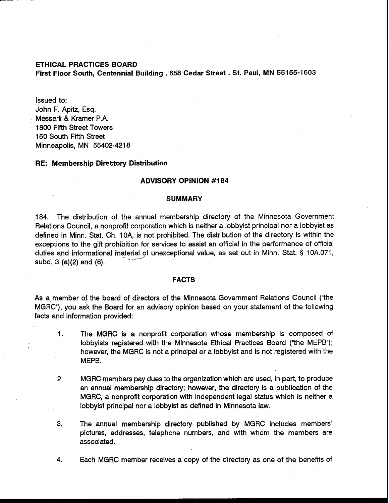# **ETHICAL PRACTICES BOARD First Floor South, Centennial Building** . **658 Cedar Street** . **St. Paul, MN 55155-1603**

Issued to: John F. Apitz, Esq. Messerli & Kramer P.A. 1800 Fifth Street Towers 150 South Fifth Street Minneapolis, MN 55402-4218

#### **RE: Membership Directory Distribution**

#### **ADVISORY OPINION #I84**

### **SUMMARY**

184. The distribution of the annual membership directory of the Minnesota Government Relations Council, a nonprofit corporation which is neither a lobbyist principal nor a lobbyist as defined in Minn. Stat. Ch. IOA, is not prohibited. The distribution of the directory is within the exceptions to the gift prohibition for services to assist an official in the performance of official duties and informational material of unexceptional value, as set out in Minn. Stat. § 10A.071, subd. 3 (a)(2) and (6).

### **FACTS**

As a member of the board of directors of the Minnesota Government Relations Council ("the MGRC"), you ask the Board for an advisory opinion based on your statement of the following facts and information provided:

- 1. The MGRC is a nonprofit corporation whose membership is composed of lobbyists registered with the Minnesota Ethical Practices Board ("the MEPB"); however, the MGRC is not a principal or a lobbyist and is not registered with the MEPB.
- 2. MGRC members pay dues to the organization which are used, in part, to produce an annual membership directory; however, the directory is a publication of the MGRC, a nonprofit corporation with independent legal status which is neither a lobbyist principal nor a lobbyist as defined in Minnesota law.
- **3.** The annual membership directory published by MGRC includes members' pictures, addresses, telephone numbers, and with whom the members are associated.
- 4. Each MGRC member receives a copy of the directory as one of the benefits of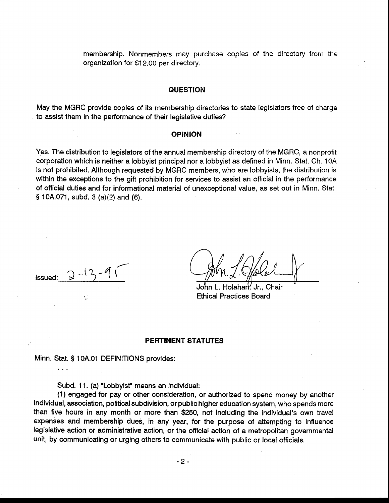membership. Nonmembers may purchase copies of the directory from the organization for \$1 2.00 per directory.

### **QUESTION**

May the MGRC provide copies of its membership directories to state legislators free of charge to assist them in the performance of their legislative duties?

#### **OPINION**

Yes. The distribution to legislators of the annual membership directory of the MGRC, a nonprofit corporation which is neither a lobbyist principal nor a lobbyist as defined in Minn. Stat. Ch. 1 OA is not prohibited. Although requested by MGRC members, who are lobbyists, the distribution is within the exceptions to the gift prohibition for services to assist an official in the performance of official duties and for informational material of unexceptional value, as set out in Minn. Stat. § 10A.071, subd. 3 (a)(2) and (6).

1ssued: <u>2-13-95</u> (Am / Golal

Ethical Practices Board

## **PERTINENT STATUTES**

Minn. Stat. § 10A.01 DEFINITIONS provides:

Subd. 11. (a) "Lobbyist" means an individual:

(1) engaged for pay or other consideration, or authorized to spend money by another individual, association, political subdivision, or public higher education system, who spends more than five hours in any month or more than \$250, not including the individual's own travel expenses and membership dues, in any year, for the purpose of attempting to influence legislative action or administrative action, or the official action of a metropolitan governmental unit, by communicating or urging others to communicate with public or local officials.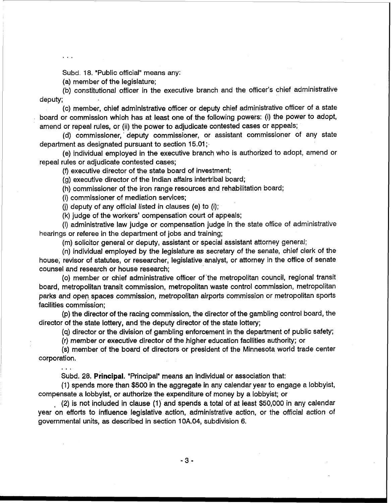Subd. 18. "Public official" means any:

(a) member of the legislature;

(b) constitutional officer in the executive branch and the officer's chief administrative deputy;

(c) member, chief administrative officer or deputy chief administrative officer of a state board or commission which has at least one of the following powers: (i) the power to adopt, amend or repeal rules, or (ii) the power to adjudicate contested cases or appeals;

(d) commissioner, deputy commissioner, or assistant commissioner of any state department as designated pursuant to section 15.01;

(e) individual employed in the executive branch who is authorized to adopt, amend or repeal rules or adjudicate contested cases;

(9 executive director of the state board of investment;

(g) executive director of the Indian affairs intertribal board;

(h) commissioner of the iron range resources and rehabilitation board;

(i) commissioner of mediation services;

...

(i) deputy of any official listed in clauses (e) to  $(i)$ ;

**(k)** judge of the workers' compensation court of appeals;

(I) administrative law judge or compensation judge in the state office of administrative hearings or referee in the department of jobs and training;

(m) solicitor general or deputy, assistant or special assistant attorney general;

(n) individual employed by the legislature as secretary of the senate, chief clerk of the house, revisor of statutes, or researcher, legislative analyst, or attorney in the office of senate counsel and research or house research;

(0) member or chief administrative officer of'the metropolitan council, regional transit board, metropolitan transit commission, metropolitan waste control commission, metropolitan parks and open. spaces commission, metropolitan airports commission or metropolitan sports facilities commission;

(p) the director of the racing commission, the director of the gambling control board, the director of the state lottery, and the deputy director of the state lottery;

(q) director or the division of gambling enforcement in the department of public safety;

(r) member or executive director of the higher education facilities authority; or

(s) member of the board of directors or president of the Minnesota world trade center corporation.

Subd. 28. **Principal.** "Principal" means an individual or association that:

(1) spends more than \$500 in the aggregate in any calendar year to engage a lobbyist, compensate a lobbyist, or authorize the expenditure of money by a lobbyist; or

 $(2)$  is not included in clause (1) and spends a total of at least \$50,000 in any calendar year on efforts to influence legislative action, administrative action, or the official action of governmental units, as described in section 10A.04, subdivision 6.